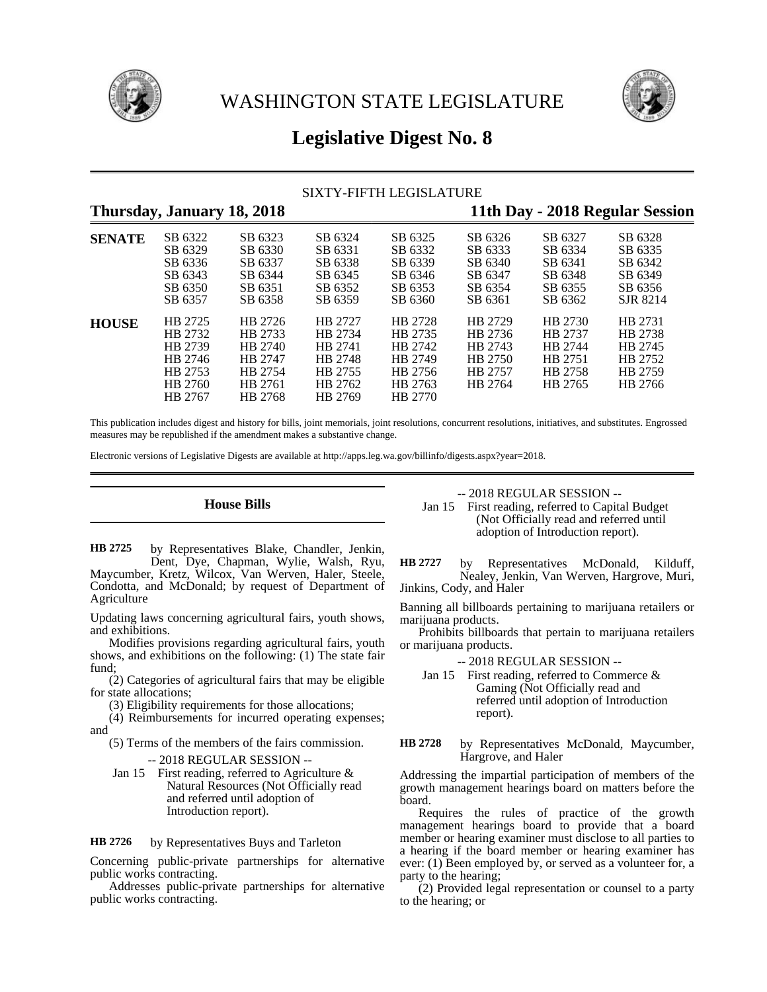



# **Legislative Digest No. 8**

# SIXTY-FIFTH LEGISLATURE

# **Thursday, January 18, 2018 11th Day - 2018 Regular Session**

| <b>SENATE</b> | SB 6322 | SB 6323 | SB 6324 | SB 6325 | SB 6326 | SB 6327 | SB 6328  |
|---------------|---------|---------|---------|---------|---------|---------|----------|
|               | SB 6329 | SB 6330 | SB 6331 | SB 6332 | SB 6333 | SB 6334 | SB 6335  |
|               | SB 6336 | SB 6337 | SB 6338 | SB 6339 | SB 6340 | SB 6341 | SB 6342  |
|               | SB 6343 | SB 6344 | SB 6345 | SB 6346 | SB 6347 | SB 6348 | SB 6349  |
|               | SB 6350 | SB 6351 | SB 6352 | SB 6353 | SB 6354 | SB 6355 | SB 6356  |
|               | SB 6357 | SB 6358 | SB 6359 | SB 6360 | SB 6361 | SB 6362 | SJR 8214 |
| <b>HOUSE</b>  | HB 2725 | HB 2726 | HB 2727 | HB 2728 | HB 2729 | HB 2730 | HB 2731  |
|               | HB 2732 | HB 2733 | HB 2734 | HB 2735 | HB 2736 | HB 2737 | HB 2738  |
|               | HB 2739 | HB 2740 | HB 2741 | HB 2742 | HB 2743 | HB 2744 | HB 2745  |
|               | HB 2746 | HB 2747 | HB 2748 | HB 2749 | HB 2750 | HB 2751 | HB 2752  |
|               | HB 2753 | HB 2754 | HB 2755 | HB 2756 | HB 2757 | HB 2758 | HB 2759  |
|               | HB 2760 | HB 2761 | HB 2762 | HB 2763 | HB 2764 | HB 2765 | HB 2766  |
|               | HB 2767 | HB 2768 | HB 2769 | HB 2770 |         |         |          |

This publication includes digest and history for bills, joint memorials, joint resolutions, concurrent resolutions, initiatives, and substitutes. Engrossed measures may be republished if the amendment makes a substantive change.

Electronic versions of Legislative Digests are available at http://apps.leg.wa.gov/billinfo/digests.aspx?year=2018.

# **House Bills**

by Representatives Blake, Chandler, Jenkin, Dent, Dye, Chapman, Wylie, Walsh, Ryu, Maycumber, Kretz, Wilcox, Van Werven, Haler, Steele, Condotta, and McDonald; by request of Department of Agriculture **HB 2725**

Updating laws concerning agricultural fairs, youth shows, and exhibitions.

Modifies provisions regarding agricultural fairs, youth shows, and exhibitions on the following: (1) The state fair fund;

(2) Categories of agricultural fairs that may be eligible for state allocations;

(3) Eligibility requirements for those allocations;

(4) Reimbursements for incurred operating expenses; and

- (5) Terms of the members of the fairs commission. -- 2018 REGULAR SESSION --
- Jan 15 First reading, referred to Agriculture & Natural Resources (Not Officially read and referred until adoption of Introduction report).

by Representatives Buys and Tarleton **HB 2726**

Concerning public-private partnerships for alternative public works contracting.

Addresses public-private partnerships for alternative public works contracting.

-- 2018 REGULAR SESSION --

Jan 15 First reading, referred to Capital Budget (Not Officially read and referred until adoption of Introduction report).

by Representatives McDonald, Kilduff, Nealey, Jenkin, Van Werven, Hargrove, Muri, Jinkins, Cody, and Haler **HB 2727**

Banning all billboards pertaining to marijuana retailers or marijuana products.

Prohibits billboards that pertain to marijuana retailers or marijuana products.

-- 2018 REGULAR SESSION --

Jan 15 First reading, referred to Commerce & Gaming (Not Officially read and referred until adoption of Introduction report).

by Representatives McDonald, Maycumber, Hargrove, and Haler **HB 2728**

Addressing the impartial participation of members of the growth management hearings board on matters before the board.

Requires the rules of practice of the growth management hearings board to provide that a board member or hearing examiner must disclose to all parties to a hearing if the board member or hearing examiner has ever: (1) Been employed by, or served as a volunteer for, a party to the hearing;

(2) Provided legal representation or counsel to a party to the hearing; or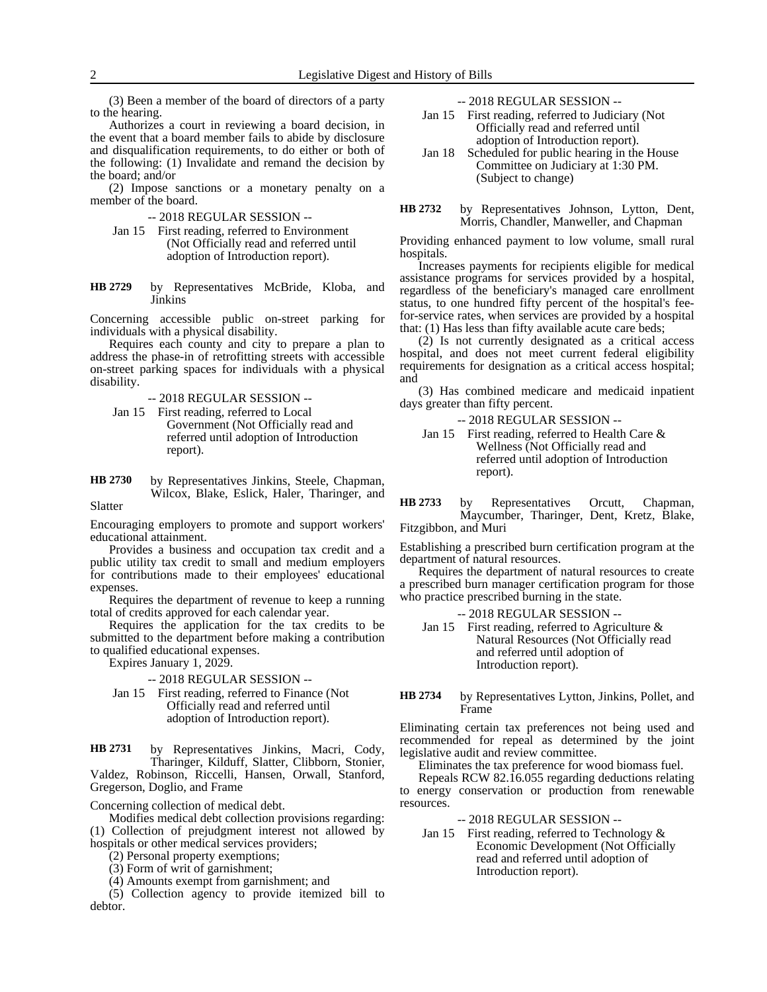(3) Been a member of the board of directors of a party to the hearing.

Authorizes a court in reviewing a board decision, in the event that a board member fails to abide by disclosure and disqualification requirements, to do either or both of the following: (1) Invalidate and remand the decision by the board; and/or

(2) Impose sanctions or a monetary penalty on a member of the board.

- -- 2018 REGULAR SESSION --
- Jan 15 First reading, referred to Environment (Not Officially read and referred until adoption of Introduction report).
- by Representatives McBride, Kloba, and Jinkins **HB 2729**

Concerning accessible public on-street parking for individuals with a physical disability.

Requires each county and city to prepare a plan to address the phase-in of retrofitting streets with accessible on-street parking spaces for individuals with a physical disability.

-- 2018 REGULAR SESSION --

- Jan 15 First reading, referred to Local Government (Not Officially read and referred until adoption of Introduction report).
- by Representatives Jinkins, Steele, Chapman, Wilcox, Blake, Eslick, Haler, Tharinger, and Slatter **HB 2730**

Encouraging employers to promote and support workers' educational attainment.

Provides a business and occupation tax credit and a public utility tax credit to small and medium employers for contributions made to their employees' educational expenses.

Requires the department of revenue to keep a running total of credits approved for each calendar year.

Requires the application for the tax credits to be submitted to the department before making a contribution to qualified educational expenses.

Expires January 1, 2029.

### -- 2018 REGULAR SESSION --

Jan 15 First reading, referred to Finance (Not Officially read and referred until adoption of Introduction report).

by Representatives Jinkins, Macri, Cody, Tharinger, Kilduff, Slatter, Clibborn, Stonier, Valdez, Robinson, Riccelli, Hansen, Orwall, Stanford, Gregerson, Doglio, and Frame **HB 2731**

Concerning collection of medical debt.

Modifies medical debt collection provisions regarding: (1) Collection of prejudgment interest not allowed by hospitals or other medical services providers;

- (2) Personal property exemptions;
- (3) Form of writ of garnishment;
- (4) Amounts exempt from garnishment; and

(5) Collection agency to provide itemized bill to debtor.

-- 2018 REGULAR SESSION --

- Jan 15 First reading, referred to Judiciary (Not Officially read and referred until adoption of Introduction report).
- Jan 18 Scheduled for public hearing in the House Committee on Judiciary at 1:30 PM. (Subject to change)
- by Representatives Johnson, Lytton, Dent, Morris, Chandler, Manweller, and Chapman **HB 2732**

Providing enhanced payment to low volume, small rural hospitals.

Increases payments for recipients eligible for medical assistance programs for services provided by a hospital, regardless of the beneficiary's managed care enrollment status, to one hundred fifty percent of the hospital's feefor-service rates, when services are provided by a hospital that: (1) Has less than fifty available acute care beds;

(2) Is not currently designated as a critical access hospital, and does not meet current federal eligibility requirements for designation as a critical access hospital; and

(3) Has combined medicare and medicaid inpatient days greater than fifty percent.

-- 2018 REGULAR SESSION --

Jan 15 First reading, referred to Health Care & Wellness (Not Officially read and referred until adoption of Introduction report).

by Representatives Orcutt, Chapman, Maycumber, Tharinger, Dent, Kretz, Blake, Fitzgibbon, and Muri **HB 2733**

Establishing a prescribed burn certification program at the department of natural resources.

Requires the department of natural resources to create a prescribed burn manager certification program for those who practice prescribed burning in the state.

- -- 2018 REGULAR SESSION --
- Jan 15 First reading, referred to Agriculture & Natural Resources (Not Officially read and referred until adoption of Introduction report).

by Representatives Lytton, Jinkins, Pollet, and Frame **HB 2734**

Eliminating certain tax preferences not being used and recommended for repeal as determined by the joint legislative audit and review committee.

Eliminates the tax preference for wood biomass fuel.

Repeals RCW 82.16.055 regarding deductions relating to energy conservation or production from renewable resources.

- -- 2018 REGULAR SESSION --
- Jan 15 First reading, referred to Technology & Economic Development (Not Officially read and referred until adoption of Introduction report).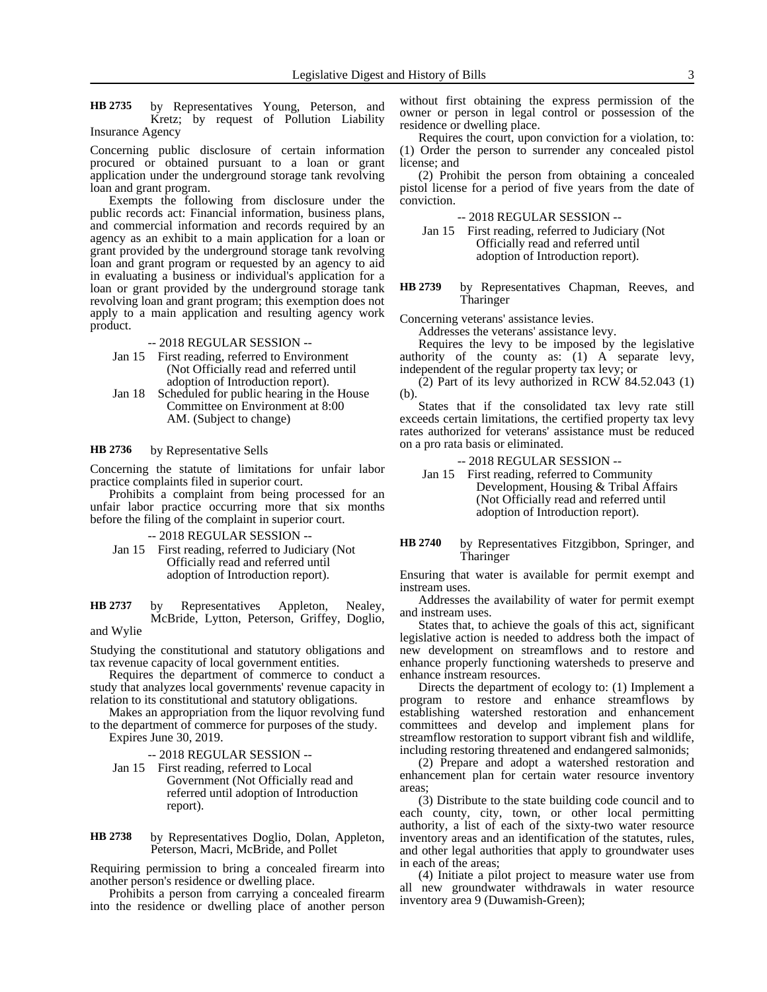by Representatives Young, Peterson, and Kretz; by request of Pollution Liability Insurance Agency **HB 2735**

Concerning public disclosure of certain information procured or obtained pursuant to a loan or grant application under the underground storage tank revolving loan and grant program.

Exempts the following from disclosure under the public records act: Financial information, business plans, and commercial information and records required by an agency as an exhibit to a main application for a loan or grant provided by the underground storage tank revolving loan and grant program or requested by an agency to aid in evaluating a business or individual's application for a loan or grant provided by the underground storage tank revolving loan and grant program; this exemption does not apply to a main application and resulting agency work product.

-- 2018 REGULAR SESSION --

- Jan 15 First reading, referred to Environment (Not Officially read and referred until adoption of Introduction report).
- Jan 18 Scheduled for public hearing in the House Committee on Environment at 8:00 AM. (Subject to change)

### by Representative Sells **HB 2736**

Concerning the statute of limitations for unfair labor practice complaints filed in superior court.

Prohibits a complaint from being processed for an unfair labor practice occurring more that six months before the filing of the complaint in superior court.

-- 2018 REGULAR SESSION --

Jan 15 First reading, referred to Judiciary (Not Officially read and referred until adoption of Introduction report).

by Representatives Appleton, Nealey, McBride, Lytton, Peterson, Griffey, Doglio, and Wylie **HB 2737**

Studying the constitutional and statutory obligations and tax revenue capacity of local government entities.

Requires the department of commerce to conduct a study that analyzes local governments' revenue capacity in relation to its constitutional and statutory obligations.

Makes an appropriation from the liquor revolving fund to the department of commerce for purposes of the study. Expires June 30, 2019.

-- 2018 REGULAR SESSION --

Jan 15 First reading, referred to Local Government (Not Officially read and referred until adoption of Introduction report).

by Representatives Doglio, Dolan, Appleton, Peterson, Macri, McBride, and Pollet **HB 2738**

Requiring permission to bring a concealed firearm into another person's residence or dwelling place.

Prohibits a person from carrying a concealed firearm into the residence or dwelling place of another person

without first obtaining the express permission of the owner or person in legal control or possession of the residence or dwelling place.

Requires the court, upon conviction for a violation, to: (1) Order the person to surrender any concealed pistol license; and

(2) Prohibit the person from obtaining a concealed pistol license for a period of five years from the date of conviction.

-- 2018 REGULAR SESSION --

Jan 15 First reading, referred to Judiciary (Not Officially read and referred until adoption of Introduction report).

by Representatives Chapman, Reeves, and Tharinger **HB 2739**

Concerning veterans' assistance levies.

Addresses the veterans' assistance levy.

Requires the levy to be imposed by the legislative authority of the county as: (1) A separate levy, independent of the regular property tax levy; or

(2) Part of its levy authorized in RCW 84.52.043 (1) (b).

States that if the consolidated tax levy rate still exceeds certain limitations, the certified property tax levy rates authorized for veterans' assistance must be reduced on a pro rata basis or eliminated.

-- 2018 REGULAR SESSION --

- Jan 15 First reading, referred to Community Development, Housing & Tribal Affairs (Not Officially read and referred until adoption of Introduction report).
- by Representatives Fitzgibbon, Springer, and Tharinger **HB 2740**

Ensuring that water is available for permit exempt and instream uses.

Addresses the availability of water for permit exempt and instream uses.

States that, to achieve the goals of this act, significant legislative action is needed to address both the impact of new development on streamflows and to restore and enhance properly functioning watersheds to preserve and enhance instream resources.

Directs the department of ecology to: (1) Implement a program to restore and enhance streamflows by establishing watershed restoration and enhancement committees and develop and implement plans for streamflow restoration to support vibrant fish and wildlife, including restoring threatened and endangered salmonids;

(2) Prepare and adopt a watershed restoration and enhancement plan for certain water resource inventory areas;

(3) Distribute to the state building code council and to each county, city, town, or other local permitting authority, a list of each of the sixty-two water resource inventory areas and an identification of the statutes, rules, and other legal authorities that apply to groundwater uses in each of the areas;

(4) Initiate a pilot project to measure water use from all new groundwater withdrawals in water resource inventory area 9 (Duwamish-Green);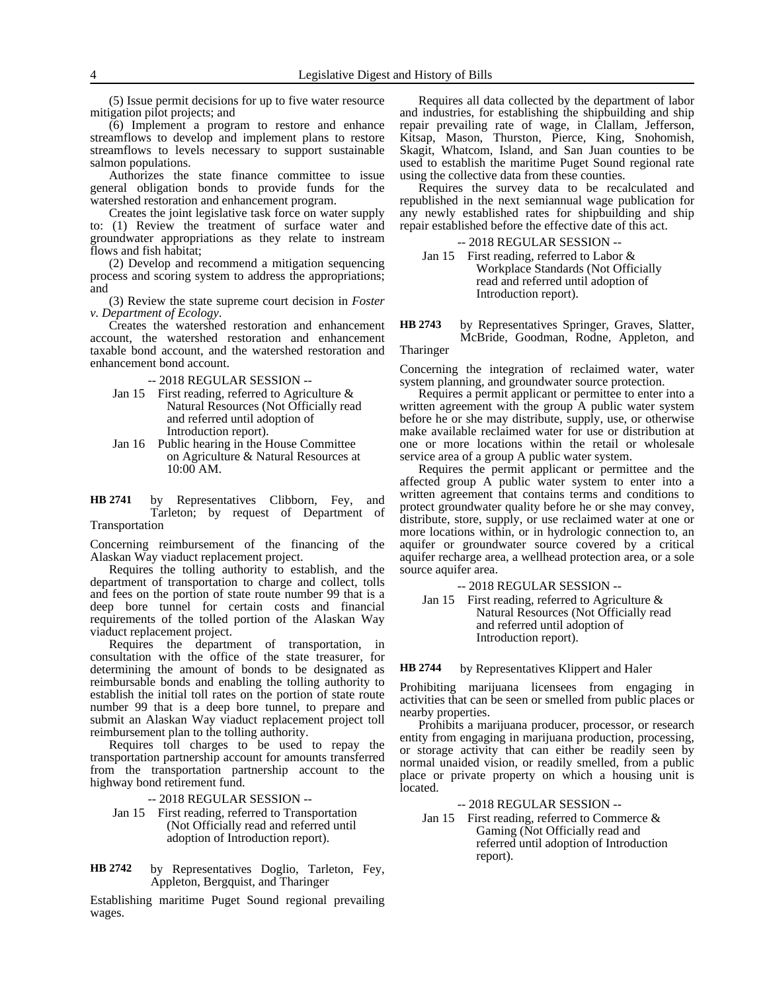(6) Implement a program to restore and enhance streamflows to develop and implement plans to restore streamflows to levels necessary to support sustainable salmon populations.

Authorizes the state finance committee to issue general obligation bonds to provide funds for the watershed restoration and enhancement program.

Creates the joint legislative task force on water supply to: (1) Review the treatment of surface water and groundwater appropriations as they relate to instream flows and fish habitat;

(2) Develop and recommend a mitigation sequencing process and scoring system to address the appropriations; and

(3) Review the state supreme court decision in *Foster v. Department of Ecology*.

Creates the watershed restoration and enhancement account, the watershed restoration and enhancement taxable bond account, and the watershed restoration and enhancement bond account.

-- 2018 REGULAR SESSION --

- Jan 15 First reading, referred to Agriculture  $\&$ Natural Resources (Not Officially read and referred until adoption of Introduction report).
- Jan 16 Public hearing in the House Committee on Agriculture & Natural Resources at 10:00 AM.

by Representatives Clibborn, Fey, and Tarleton; by request of Department of **HB 2741**

# Transportation

Concerning reimbursement of the financing of the Alaskan Way viaduct replacement project.

Requires the tolling authority to establish, and the department of transportation to charge and collect, tolls and fees on the portion of state route number 99 that is a deep bore tunnel for certain costs and financial requirements of the tolled portion of the Alaskan Way viaduct replacement project.

Requires the department of transportation, in consultation with the office of the state treasurer, for determining the amount of bonds to be designated as reimbursable bonds and enabling the tolling authority to establish the initial toll rates on the portion of state route number 99 that is a deep bore tunnel, to prepare and submit an Alaskan Way viaduct replacement project toll reimbursement plan to the tolling authority.

Requires toll charges to be used to repay the transportation partnership account for amounts transferred from the transportation partnership account to the highway bond retirement fund.

- -- 2018 REGULAR SESSION --
- Jan 15 First reading, referred to Transportation (Not Officially read and referred until adoption of Introduction report).
- by Representatives Doglio, Tarleton, Fey, Appleton, Bergquist, and Tharinger **HB 2742**

Establishing maritime Puget Sound regional prevailing wages.

Requires all data collected by the department of labor and industries, for establishing the shipbuilding and ship repair prevailing rate of wage, in Clallam, Jefferson, Kitsap, Mason, Thurston, Pierce, King, Snohomish, Skagit, Whatcom, Island, and San Juan counties to be used to establish the maritime Puget Sound regional rate using the collective data from these counties.

Requires the survey data to be recalculated and republished in the next semiannual wage publication for any newly established rates for shipbuilding and ship repair established before the effective date of this act.

-- 2018 REGULAR SESSION --

Jan 15 First reading, referred to Labor & Workplace Standards (Not Officially read and referred until adoption of Introduction report).

by Representatives Springer, Graves, Slatter, McBride, Goodman, Rodne, Appleton, and **HB 2743**

Tharinger

Concerning the integration of reclaimed water, water system planning, and groundwater source protection.

Requires a permit applicant or permittee to enter into a written agreement with the group A public water system before he or she may distribute, supply, use, or otherwise make available reclaimed water for use or distribution at one or more locations within the retail or wholesale service area of a group A public water system.

Requires the permit applicant or permittee and the affected group A public water system to enter into a written agreement that contains terms and conditions to protect groundwater quality before he or she may convey, distribute, store, supply, or use reclaimed water at one or more locations within, or in hydrologic connection to, an aquifer or groundwater source covered by a critical aquifer recharge area, a wellhead protection area, or a sole source aquifer area.

-- 2018 REGULAR SESSION --

Jan 15 First reading, referred to Agriculture & Natural Resources (Not Officially read and referred until adoption of Introduction report).

by Representatives Klippert and Haler **HB 2744**

Prohibiting marijuana licensees from engaging in activities that can be seen or smelled from public places or nearby properties.

Prohibits a marijuana producer, processor, or research entity from engaging in marijuana production, processing, or storage activity that can either be readily seen by normal unaided vision, or readily smelled, from a public place or private property on which a housing unit is located.

-- 2018 REGULAR SESSION --

Jan 15 First reading, referred to Commerce & Gaming (Not Officially read and referred until adoption of Introduction report).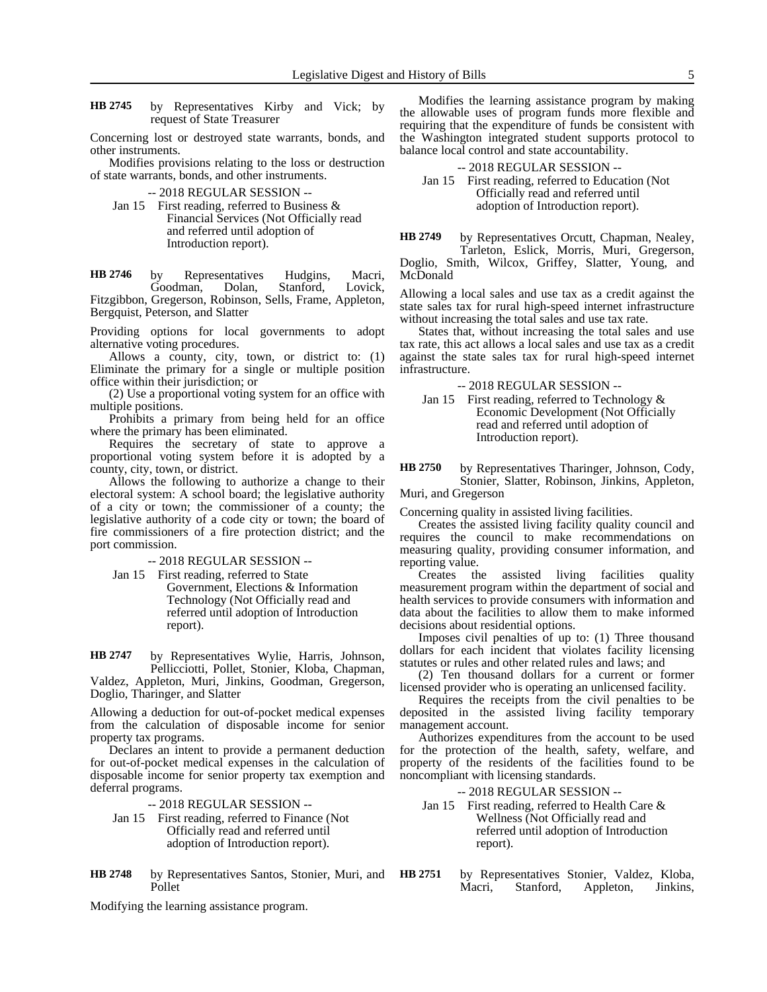by Representatives Kirby and Vick; by request of State Treasurer **HB 2745**

Concerning lost or destroyed state warrants, bonds, and other instruments.

Modifies provisions relating to the loss or destruction of state warrants, bonds, and other instruments.

-- 2018 REGULAR SESSION --

Jan 15 First reading, referred to Business & Financial Services (Not Officially read and referred until adoption of Introduction report).

by Representatives Hudgins, Macri,<br>Goodman, Dolan, Stanford, Lovick, Goodman, Dolan, Stanford, Lovick, Fitzgibbon, Gregerson, Robinson, Sells, Frame, Appleton, Bergquist, Peterson, and Slatter **HB 2746**

Providing options for local governments to adopt alternative voting procedures.

Allows a county, city, town, or district to: (1) Eliminate the primary for a single or multiple position office within their jurisdiction; or

(2) Use a proportional voting system for an office with multiple positions.

Prohibits a primary from being held for an office where the primary has been eliminated.

Requires the secretary of state to approve a proportional voting system before it is adopted by a county, city, town, or district.

Allows the following to authorize a change to their electoral system: A school board; the legislative authority of a city or town; the commissioner of a county; the legislative authority of a code city or town; the board of fire commissioners of a fire protection district; and the port commission.

-- 2018 REGULAR SESSION --

Jan 15 First reading, referred to State Government, Elections & Information Technology (Not Officially read and referred until adoption of Introduction report).

by Representatives Wylie, Harris, Johnson, Pellicciotti, Pollet, Stonier, Kloba, Chapman, **HB 2747**

Valdez, Appleton, Muri, Jinkins, Goodman, Gregerson, Doglio, Tharinger, and Slatter

Allowing a deduction for out-of-pocket medical expenses from the calculation of disposable income for senior property tax programs.

Declares an intent to provide a permanent deduction for out-of-pocket medical expenses in the calculation of disposable income for senior property tax exemption and deferral programs.

-- 2018 REGULAR SESSION --

- Jan 15 First reading, referred to Finance (Not Officially read and referred until adoption of Introduction report).
- by Representatives Santos, Stonier, Muri, and Pollet **HB 2748 HB 2751**

Modifying the learning assistance program.

Modifies the learning assistance program by making the allowable uses of program funds more flexible and requiring that the expenditure of funds be consistent with the Washington integrated student supports protocol to balance local control and state accountability.

-- 2018 REGULAR SESSION --

Jan 15 First reading, referred to Education (Not Officially read and referred until adoption of Introduction report).

by Representatives Orcutt, Chapman, Nealey, Tarleton, Eslick, Morris, Muri, Gregerson, Doglio, Smith, Wilcox, Griffey, Slatter, Young, and McDonald **HB 2749**

Allowing a local sales and use tax as a credit against the state sales tax for rural high-speed internet infrastructure without increasing the total sales and use tax rate.

States that, without increasing the total sales and use tax rate, this act allows a local sales and use tax as a credit against the state sales tax for rural high-speed internet infrastructure.

-- 2018 REGULAR SESSION --

Jan 15 First reading, referred to Technology  $\&$ Economic Development (Not Officially read and referred until adoption of Introduction report).

by Representatives Tharinger, Johnson, Cody, Stonier, Slatter, Robinson, Jinkins, Appleton, **HB 2750**

Muri, and Gregerson

Concerning quality in assisted living facilities.

Creates the assisted living facility quality council and requires the council to make recommendations on measuring quality, providing consumer information, and reporting value.

Creates the assisted living facilities quality measurement program within the department of social and health services to provide consumers with information and data about the facilities to allow them to make informed decisions about residential options.

Imposes civil penalties of up to: (1) Three thousand dollars for each incident that violates facility licensing statutes or rules and other related rules and laws; and

(2) Ten thousand dollars for a current or former licensed provider who is operating an unlicensed facility.

Requires the receipts from the civil penalties to be deposited in the assisted living facility temporary management account.

Authorizes expenditures from the account to be used for the protection of the health, safety, welfare, and property of the residents of the facilities found to be noncompliant with licensing standards.

-- 2018 REGULAR SESSION --

- Jan 15 First reading, referred to Health Care & Wellness (Not Officially read and referred until adoption of Introduction report).
- by Representatives Stonier, Valdez, Kloba, Macri, Stanford, Appleton, Jinkins,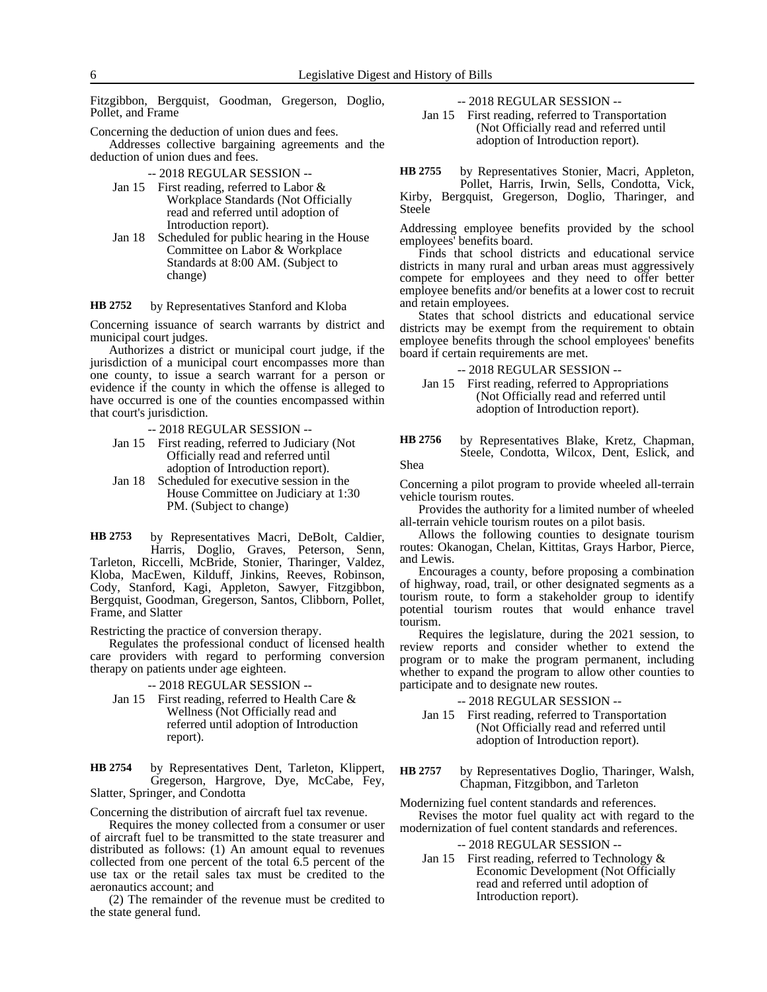Fitzgibbon, Bergquist, Goodman, Gregerson, Doglio, Pollet, and Frame

Concerning the deduction of union dues and fees.

Addresses collective bargaining agreements and the deduction of union dues and fees.

- -- 2018 REGULAR SESSION --
- Jan 15 First reading, referred to Labor & Workplace Standards (Not Officially read and referred until adoption of Introduction report).
- Jan 18 Scheduled for public hearing in the House Committee on Labor & Workplace Standards at 8:00 AM. (Subject to change)

### by Representatives Stanford and Kloba **HB 2752**

Concerning issuance of search warrants by district and municipal court judges.

Authorizes a district or municipal court judge, if the jurisdiction of a municipal court encompasses more than one county, to issue a search warrant for a person or evidence if the county in which the offense is alleged to have occurred is one of the counties encompassed within that court's jurisdiction.

- -- 2018 REGULAR SESSION --
- Jan 15 First reading, referred to Judiciary (Not Officially read and referred until adoption of Introduction report).
- Jan 18 Scheduled for executive session in the House Committee on Judiciary at 1:30 PM. (Subject to change)

by Representatives Macri, DeBolt, Caldier, Harris, Doglio, Graves, Peterson, Senn, Tarleton, Riccelli, McBride, Stonier, Tharinger, Valdez, Kloba, MacEwen, Kilduff, Jinkins, Reeves, Robinson, Cody, Stanford, Kagi, Appleton, Sawyer, Fitzgibbon, Bergquist, Goodman, Gregerson, Santos, Clibborn, Pollet, Frame, and Slatter **HB 2753**

Restricting the practice of conversion therapy.

Regulates the professional conduct of licensed health care providers with regard to performing conversion therapy on patients under age eighteen.

### -- 2018 REGULAR SESSION --

Jan 15 First reading, referred to Health Care & Wellness (Not Officially read and referred until adoption of Introduction report).

by Representatives Dent, Tarleton, Klippert, Gregerson, Hargrove, Dye, McCabe, Fey, Slatter, Springer, and Condotta **HB 2754**

Concerning the distribution of aircraft fuel tax revenue.

Requires the money collected from a consumer or user of aircraft fuel to be transmitted to the state treasurer and distributed as follows: (1) An amount equal to revenues collected from one percent of the total 6.5 percent of the use tax or the retail sales tax must be credited to the aeronautics account; and

(2) The remainder of the revenue must be credited to the state general fund.

-- 2018 REGULAR SESSION --

Jan 15 First reading, referred to Transportation (Not Officially read and referred until adoption of Introduction report).

by Representatives Stonier, Macri, Appleton, Pollet, Harris, Irwin, Sells, Condotta, Vick, **HB 2755**

Kirby, Bergquist, Gregerson, Doglio, Tharinger, and Steele

Addressing employee benefits provided by the school employees' benefits board.

Finds that school districts and educational service districts in many rural and urban areas must aggressively compete for employees and they need to offer better employee benefits and/or benefits at a lower cost to recruit and retain employees.

States that school districts and educational service districts may be exempt from the requirement to obtain employee benefits through the school employees' benefits board if certain requirements are met.

-- 2018 REGULAR SESSION --

- Jan 15 First reading, referred to Appropriations (Not Officially read and referred until adoption of Introduction report).
- by Representatives Blake, Kretz, Chapman, Steele, Condotta, Wilcox, Dent, Eslick, and **HB 2756**

Shea

Concerning a pilot program to provide wheeled all-terrain vehicle tourism routes.

Provides the authority for a limited number of wheeled all-terrain vehicle tourism routes on a pilot basis.

Allows the following counties to designate tourism routes: Okanogan, Chelan, Kittitas, Grays Harbor, Pierce, and Lewis.

Encourages a county, before proposing a combination of highway, road, trail, or other designated segments as a tourism route, to form a stakeholder group to identify potential tourism routes that would enhance travel tourism.

Requires the legislature, during the 2021 session, to review reports and consider whether to extend the program or to make the program permanent, including whether to expand the program to allow other counties to participate and to designate new routes.

-- 2018 REGULAR SESSION --

Jan 15 First reading, referred to Transportation (Not Officially read and referred until adoption of Introduction report).

by Representatives Doglio, Tharinger, Walsh, Chapman, Fitzgibbon, and Tarleton **HB 2757**

Modernizing fuel content standards and references. Revises the motor fuel quality act with regard to the modernization of fuel content standards and references.

-- 2018 REGULAR SESSION --

Jan 15 First reading, referred to Technology & Economic Development (Not Officially read and referred until adoption of Introduction report).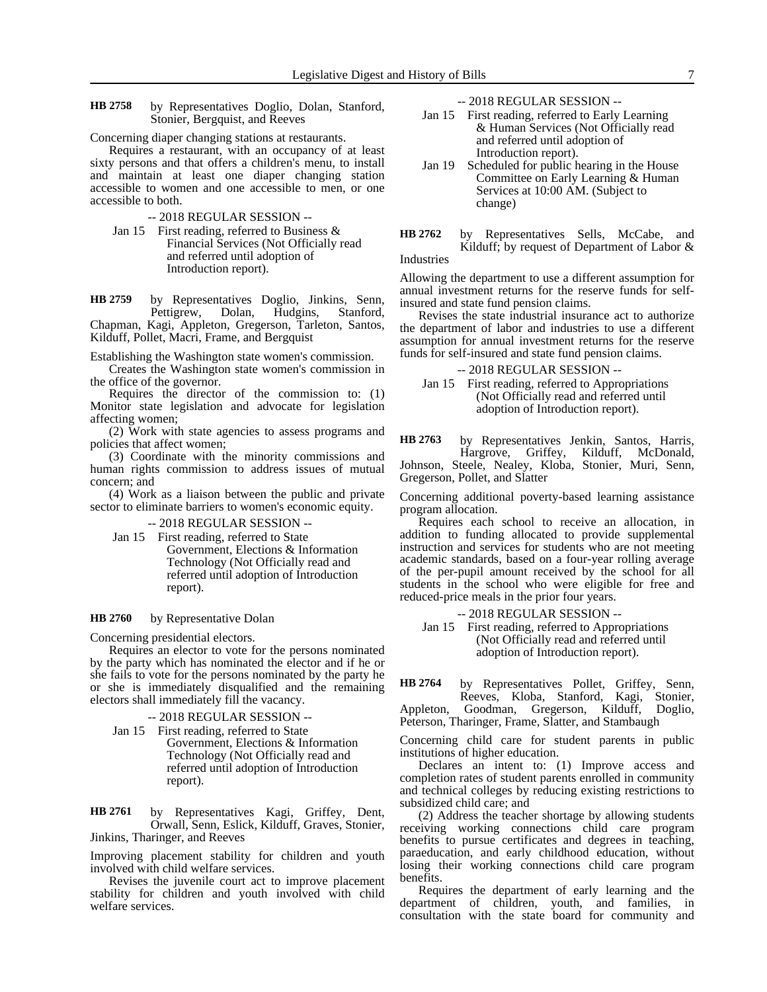by Representatives Doglio, Dolan, Stanford, Stonier, Bergquist, and Reeves **HB 2758**

Concerning diaper changing stations at restaurants.

Requires a restaurant, with an occupancy of at least sixty persons and that offers a children's menu, to install and maintain at least one diaper changing station accessible to women and one accessible to men, or one accessible to both.

-- 2018 REGULAR SESSION --

Jan 15 First reading, referred to Business & Financial Services (Not Officially read and referred until adoption of Introduction report).

by Representatives Doglio, Jinkins, Senn, Pettigrew, Dolan, Hudgins, Stanford, Chapman, Kagi, Appleton, Gregerson, Tarleton, Santos, Kilduff, Pollet, Macri, Frame, and Bergquist **HB 2759**

Establishing the Washington state women's commission.

Creates the Washington state women's commission in the office of the governor.

Requires the director of the commission to: (1) Monitor state legislation and advocate for legislation affecting women;

(2) Work with state agencies to assess programs and policies that affect women;

(3) Coordinate with the minority commissions and human rights commission to address issues of mutual concern; and

(4) Work as a liaison between the public and private sector to eliminate barriers to women's economic equity.

-- 2018 REGULAR SESSION --

- Jan 15 First reading, referred to State
- Government, Elections & Information Technology (Not Officially read and referred until adoption of Introduction report).

### by Representative Dolan **HB 2760**

Concerning presidential electors.

Requires an elector to vote for the persons nominated by the party which has nominated the elector and if he or she fails to vote for the persons nominated by the party he or she is immediately disqualified and the remaining electors shall immediately fill the vacancy.

- -- 2018 REGULAR SESSION --
- Jan 15 First reading, referred to State Government, Elections & Information Technology (Not Officially read and referred until adoption of Introduction report).

by Representatives Kagi, Griffey, Dent, Orwall, Senn, Eslick, Kilduff, Graves, Stonier, Jinkins, Tharinger, and Reeves **HB 2761**

Improving placement stability for children and youth involved with child welfare services.

Revises the juvenile court act to improve placement stability for children and youth involved with child welfare services.

-- 2018 REGULAR SESSION --

- Jan 15 First reading, referred to Early Learning & Human Services (Not Officially read and referred until adoption of Introduction report).
- Jan 19 Scheduled for public hearing in the House Committee on Early Learning & Human Services at 10:00 AM. (Subject to change)
- by Representatives Sells, McCabe, and Kilduff; by request of Department of Labor & Industries **HB 2762**

Allowing the department to use a different assumption for annual investment returns for the reserve funds for selfinsured and state fund pension claims.

Revises the state industrial insurance act to authorize the department of labor and industries to use a different assumption for annual investment returns for the reserve funds for self-insured and state fund pension claims.

-- 2018 REGULAR SESSION --

Jan 15 First reading, referred to Appropriations (Not Officially read and referred until adoption of Introduction report).

by Representatives Jenkin, Santos, Harris,<br>Hargrove, Griffey, Kilduff, McDonald, Hargrove, Griffey, Kilduff, McDonald, Johnson, Steele, Nealey, Kloba, Stonier, Muri, Senn, Gregerson, Pollet, and Slatter **HB 2763**

Concerning additional poverty-based learning assistance program allocation.

Requires each school to receive an allocation, in addition to funding allocated to provide supplemental instruction and services for students who are not meeting academic standards, based on a four-year rolling average of the per-pupil amount received by the school for all students in the school who were eligible for free and reduced-price meals in the prior four years.

-- 2018 REGULAR SESSION --

Jan 15 First reading, referred to Appropriations (Not Officially read and referred until adoption of Introduction report).

by Representatives Pollet, Griffey, Senn, Reeves, Kloba, Stanford, Kagi, Stonier, Appleton, Goodman, Gregerson, Kilduff, Doglio, Peterson, Tharinger, Frame, Slatter, and Stambaugh **HB 2764**

Concerning child care for student parents in public institutions of higher education.

Declares an intent to: (1) Improve access and completion rates of student parents enrolled in community and technical colleges by reducing existing restrictions to subsidized child care; and

(2) Address the teacher shortage by allowing students receiving working connections child care program benefits to pursue certificates and degrees in teaching, paraeducation, and early childhood education, without losing their working connections child care program benefits.

Requires the department of early learning and the department of children, youth, and families, in consultation with the state board for community and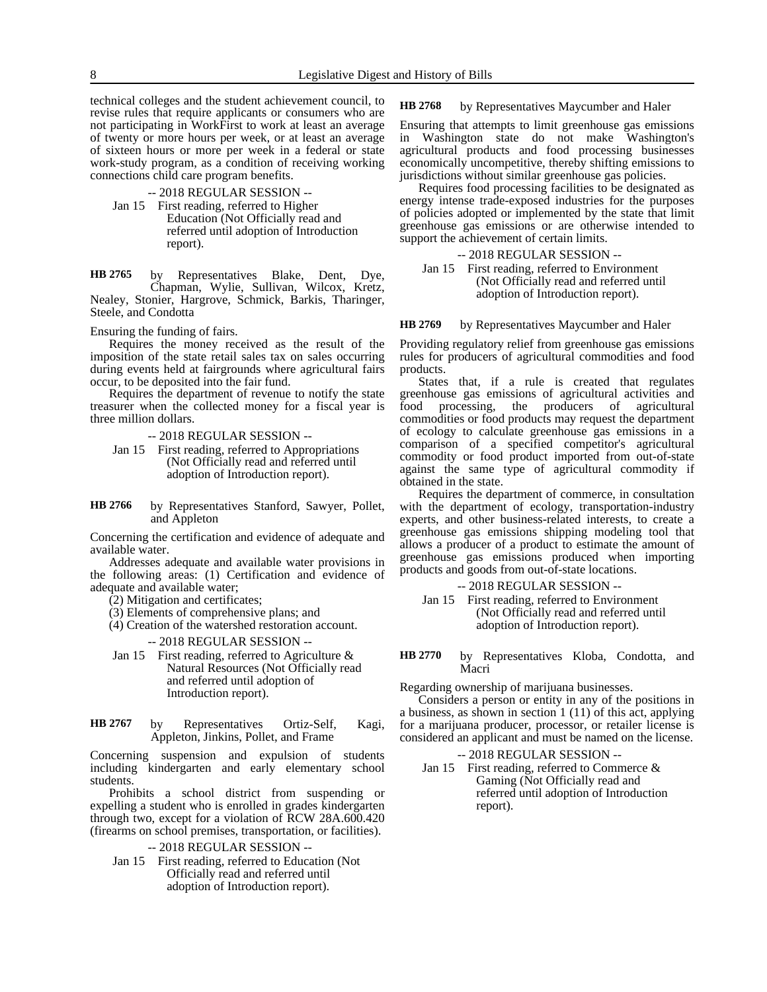technical colleges and the student achievement council, to revise rules that require applicants or consumers who are not participating in WorkFirst to work at least an average of twenty or more hours per week, or at least an average of sixteen hours or more per week in a federal or state work-study program, as a condition of receiving working connections child care program benefits.

# -- 2018 REGULAR SESSION --

Jan 15 First reading, referred to Higher Education (Not Officially read and referred until adoption of Introduction report).

by Representatives Blake, Dent, Dye, Chapman, Wylie, Sullivan, Wilcox, Kretz, Nealey, Stonier, Hargrove, Schmick, Barkis, Tharinger, Steele, and Condotta **HB 2765**

Ensuring the funding of fairs.

Requires the money received as the result of the imposition of the state retail sales tax on sales occurring during events held at fairgrounds where agricultural fairs occur, to be deposited into the fair fund.

Requires the department of revenue to notify the state treasurer when the collected money for a fiscal year is three million dollars.

-- 2018 REGULAR SESSION --

Jan 15 First reading, referred to Appropriations (Not Officially read and referred until adoption of Introduction report).

by Representatives Stanford, Sawyer, Pollet, and Appleton **HB 2766**

Concerning the certification and evidence of adequate and available water.

Addresses adequate and available water provisions in the following areas: (1) Certification and evidence of adequate and available water;

(2) Mitigation and certificates;

(3) Elements of comprehensive plans; and

(4) Creation of the watershed restoration account.

### -- 2018 REGULAR SESSION --

Jan 15 First reading, referred to Agriculture & Natural Resources (Not Officially read and referred until adoption of Introduction report).

| HB 2767 | by | Representatives                      | Ortiz-Self, | Kagi, |  |
|---------|----|--------------------------------------|-------------|-------|--|
|         |    | Appleton, Jinkins, Pollet, and Frame |             |       |  |

Concerning suspension and expulsion of students including kindergarten and early elementary school students.

Prohibits a school district from suspending or expelling a student who is enrolled in grades kindergarten through two, except for a violation of RCW 28A.600.420 (firearms on school premises, transportation, or facilities).

-- 2018 REGULAR SESSION --

Jan 15 First reading, referred to Education (Not Officially read and referred until adoption of Introduction report).

by Representatives Maycumber and Haler **HB 2768**

Ensuring that attempts to limit greenhouse gas emissions in Washington state do not make Washington's agricultural products and food processing businesses economically uncompetitive, thereby shifting emissions to jurisdictions without similar greenhouse gas policies.

Requires food processing facilities to be designated as energy intense trade-exposed industries for the purposes of policies adopted or implemented by the state that limit greenhouse gas emissions or are otherwise intended to support the achievement of certain limits.

## -- 2018 REGULAR SESSION --

Jan 15 First reading, referred to Environment (Not Officially read and referred until adoption of Introduction report).

### by Representatives Maycumber and Haler **HB 2769**

Providing regulatory relief from greenhouse gas emissions rules for producers of agricultural commodities and food products.

States that, if a rule is created that regulates greenhouse gas emissions of agricultural activities and food processing, the producers of agricultural commodities or food products may request the department of ecology to calculate greenhouse gas emissions in a comparison of a specified competitor's agricultural commodity or food product imported from out-of-state against the same type of agricultural commodity if obtained in the state.

Requires the department of commerce, in consultation with the department of ecology, transportation-industry experts, and other business-related interests, to create a greenhouse gas emissions shipping modeling tool that allows a producer of a product to estimate the amount of greenhouse gas emissions produced when importing products and goods from out-of-state locations.

# -- 2018 REGULAR SESSION --

- Jan 15 First reading, referred to Environment (Not Officially read and referred until adoption of Introduction report).
- by Representatives Kloba, Condotta, and Macri **HB 2770**

Regarding ownership of marijuana businesses.

Considers a person or entity in any of the positions in a business, as shown in section 1 (11) of this act, applying for a marijuana producer, processor, or retailer license is considered an applicant and must be named on the license.

### -- 2018 REGULAR SESSION --

Jan 15 First reading, referred to Commerce & Gaming (Not Officially read and referred until adoption of Introduction report).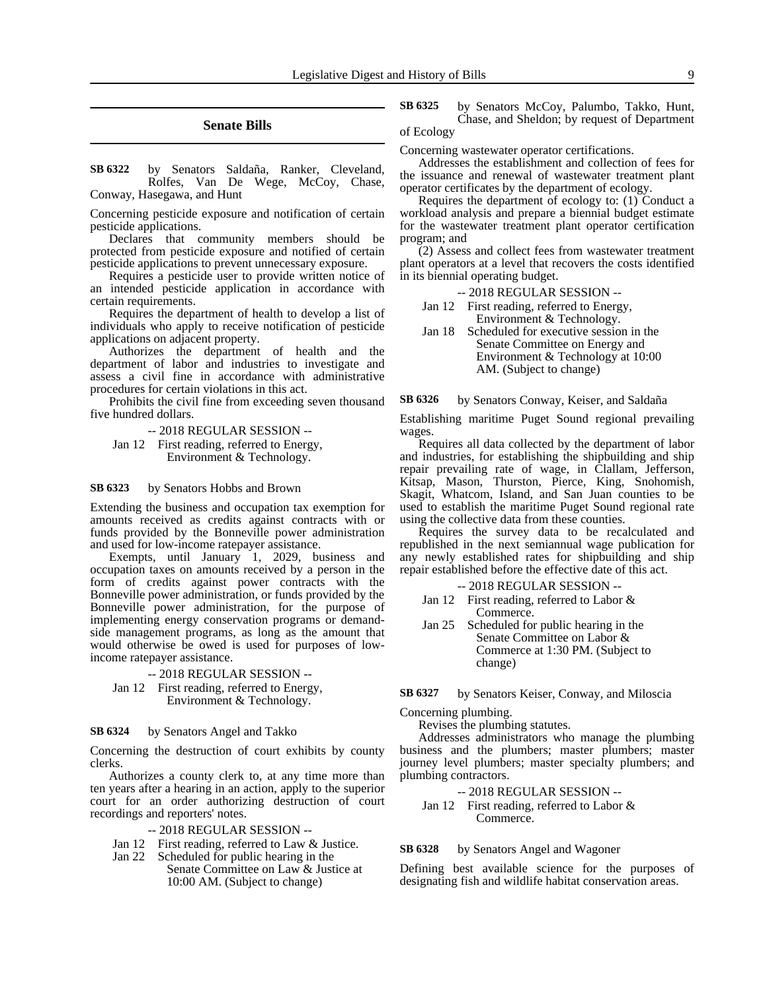### **Senate Bills**

by Senators Saldaña, Ranker, Cleveland, Rolfes, Van De Wege, McCoy, Chase, Conway, Hasegawa, and Hunt **SB 6322**

Concerning pesticide exposure and notification of certain pesticide applications.

Declares that community members should be protected from pesticide exposure and notified of certain pesticide applications to prevent unnecessary exposure.

Requires a pesticide user to provide written notice of an intended pesticide application in accordance with certain requirements.

Requires the department of health to develop a list of individuals who apply to receive notification of pesticide applications on adjacent property.

Authorizes the department of health and the department of labor and industries to investigate and assess a civil fine in accordance with administrative procedures for certain violations in this act.

Prohibits the civil fine from exceeding seven thousand five hundred dollars.

-- 2018 REGULAR SESSION --

Jan 12 First reading, referred to Energy, Environment & Technology.

by Senators Hobbs and Brown **SB 6323**

Extending the business and occupation tax exemption for amounts received as credits against contracts with or funds provided by the Bonneville power administration and used for low-income ratepayer assistance.

Exempts, until January 1, 2029, business and occupation taxes on amounts received by a person in the form of credits against power contracts with the Bonneville power administration, or funds provided by the Bonneville power administration, for the purpose of implementing energy conservation programs or demandside management programs, as long as the amount that would otherwise be owed is used for purposes of lowincome ratepayer assistance.

-- 2018 REGULAR SESSION --

Jan 12 First reading, referred to Energy, Environment & Technology.

### by Senators Angel and Takko **SB 6324**

Concerning the destruction of court exhibits by county clerks.

Authorizes a county clerk to, at any time more than ten years after a hearing in an action, apply to the superior court for an order authorizing destruction of court recordings and reporters' notes.

### -- 2018 REGULAR SESSION --

- Jan 12 First reading, referred to Law & Justice.
- Jan 22 Scheduled for public hearing in the Senate Committee on Law & Justice at 10:00 AM. (Subject to change)

by Senators McCoy, Palumbo, Takko, Hunt, Chase, and Sheldon; by request of Department of Ecology **SB 6325**

Concerning wastewater operator certifications.

Addresses the establishment and collection of fees for the issuance and renewal of wastewater treatment plant operator certificates by the department of ecology.

Requires the department of ecology to: (1) Conduct a workload analysis and prepare a biennial budget estimate for the wastewater treatment plant operator certification program; and

(2) Assess and collect fees from wastewater treatment plant operators at a level that recovers the costs identified in its biennial operating budget.

-- 2018 REGULAR SESSION --

- Jan 12 First reading, referred to Energy, Environment & Technology.
- Jan 18 Scheduled for executive session in the Senate Committee on Energy and Environment & Technology at 10:00 AM. (Subject to change)

by Senators Conway, Keiser, and Saldaña **SB 6326**

Establishing maritime Puget Sound regional prevailing wages.

Requires all data collected by the department of labor and industries, for establishing the shipbuilding and ship repair prevailing rate of wage, in Clallam, Jefferson, Kitsap, Mason, Thurston, Pierce, King, Snohomish, Skagit, Whatcom, Island, and San Juan counties to be used to establish the maritime Puget Sound regional rate using the collective data from these counties.

Requires the survey data to be recalculated and republished in the next semiannual wage publication for any newly established rates for shipbuilding and ship repair established before the effective date of this act.

-- 2018 REGULAR SESSION --

- Jan 12 First reading, referred to Labor & Commerce.
- Jan 25 Scheduled for public hearing in the Senate Committee on Labor & Commerce at 1:30 PM. (Subject to change)

### by Senators Keiser, Conway, and Miloscia **SB 6327**

Concerning plumbing.

Revises the plumbing statutes.

Addresses administrators who manage the plumbing business and the plumbers; master plumbers; master journey level plumbers; master specialty plumbers; and plumbing contractors.

-- 2018 REGULAR SESSION --

Jan 12 First reading, referred to Labor & Commerce.

### by Senators Angel and Wagoner **SB 6328**

Defining best available science for the purposes of designating fish and wildlife habitat conservation areas.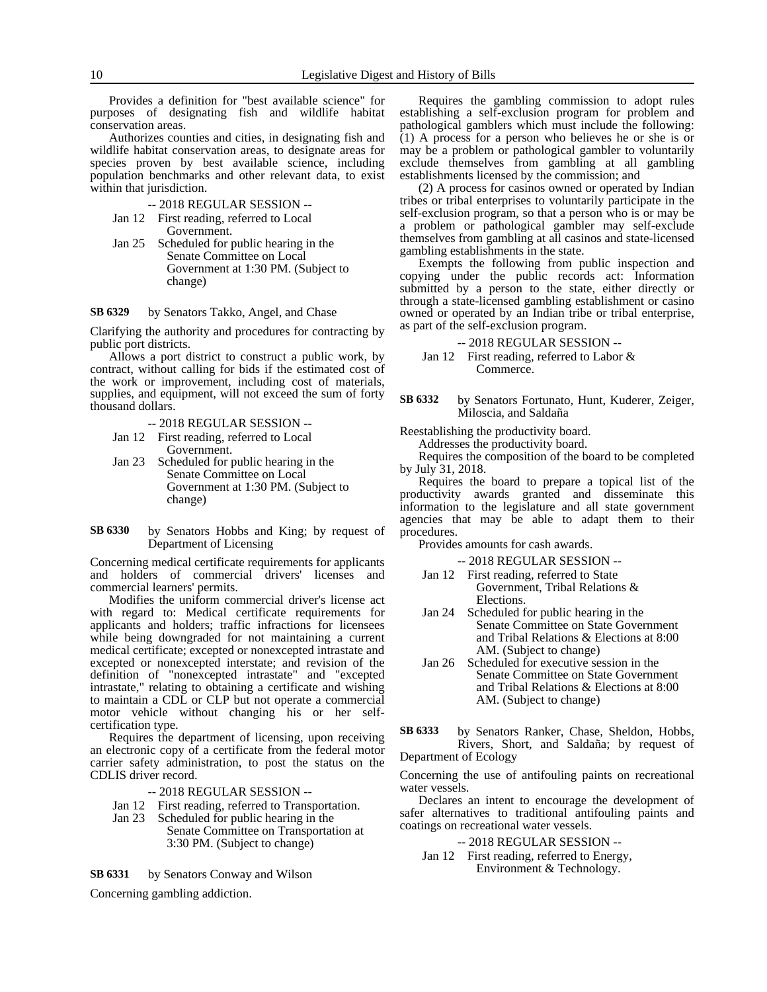Provides a definition for "best available science" for purposes of designating fish and wildlife habitat conservation areas.

Authorizes counties and cities, in designating fish and wildlife habitat conservation areas, to designate areas for species proven by best available science, including population benchmarks and other relevant data, to exist within that jurisdiction.

- -- 2018 REGULAR SESSION --
- Jan 12 First reading, referred to Local Government.
- Jan 25 Scheduled for public hearing in the Senate Committee on Local Government at 1:30 PM. (Subject to change)

### by Senators Takko, Angel, and Chase **SB 6329**

Clarifying the authority and procedures for contracting by public port districts.

Allows a port district to construct a public work, by contract, without calling for bids if the estimated cost of the work or improvement, including cost of materials, supplies, and equipment, will not exceed the sum of forty thousand dollars.

-- 2018 REGULAR SESSION --

- Jan 12 First reading, referred to Local Government.
- Jan 23 Scheduled for public hearing in the Senate Committee on Local Government at 1:30 PM. (Subject to change)
- by Senators Hobbs and King; by request of Department of Licensing **SB 6330**

Concerning medical certificate requirements for applicants and holders of commercial drivers' licenses and commercial learners' permits.

Modifies the uniform commercial driver's license act with regard to: Medical certificate requirements for applicants and holders; traffic infractions for licensees while being downgraded for not maintaining a current medical certificate; excepted or nonexcepted intrastate and excepted or nonexcepted interstate; and revision of the definition of "nonexcepted intrastate" and "excepted intrastate," relating to obtaining a certificate and wishing to maintain a CDL or CLP but not operate a commercial motor vehicle without changing his or her selfcertification type.

Requires the department of licensing, upon receiving an electronic copy of a certificate from the federal motor carrier safety administration, to post the status on the CDLIS driver record.

-- 2018 REGULAR SESSION --

- Jan 12 First reading, referred to Transportation.
- Jan 23 Scheduled for public hearing in the Senate Committee on Transportation at 3:30 PM. (Subject to change)

by Senators Conway and Wilson **SB 6331**

Concerning gambling addiction.

Requires the gambling commission to adopt rules establishing a self-exclusion program for problem and pathological gamblers which must include the following: (1) A process for a person who believes he or she is or may be a problem or pathological gambler to voluntarily exclude themselves from gambling at all gambling establishments licensed by the commission; and

(2) A process for casinos owned or operated by Indian tribes or tribal enterprises to voluntarily participate in the self-exclusion program, so that a person who is or may be a problem or pathological gambler may self-exclude themselves from gambling at all casinos and state-licensed gambling establishments in the state.

Exempts the following from public inspection and copying under the public records act: Information submitted by a person to the state, either directly or through a state-licensed gambling establishment or casino owned or operated by an Indian tribe or tribal enterprise, as part of the self-exclusion program.

-- 2018 REGULAR SESSION --

Jan 12 First reading, referred to Labor & Commerce.

by Senators Fortunato, Hunt, Kuderer, Zeiger, Miloscia, and Saldaña **SB 6332**

Reestablishing the productivity board.

Addresses the productivity board.

Requires the composition of the board to be completed by July 31, 2018.

Requires the board to prepare a topical list of the productivity awards granted and disseminate this information to the legislature and all state government agencies that may be able to adapt them to their procedures.

Provides amounts for cash awards.

-- 2018 REGULAR SESSION --

- Jan 12 First reading, referred to State Government, Tribal Relations & Elections.
- Jan 24 Scheduled for public hearing in the Senate Committee on State Government and Tribal Relations & Elections at 8:00 AM. (Subject to change)
- Jan 26 Scheduled for executive session in the Senate Committee on State Government and Tribal Relations & Elections at 8:00 AM. (Subject to change)
- by Senators Ranker, Chase, Sheldon, Hobbs, Rivers, Short, and Saldaña; by request of Department of Ecology **SB 6333**

Concerning the use of antifouling paints on recreational water vessels.

Declares an intent to encourage the development of safer alternatives to traditional antifouling paints and coatings on recreational water vessels.

- -- 2018 REGULAR SESSION --
- Jan 12 First reading, referred to Energy, Environment & Technology.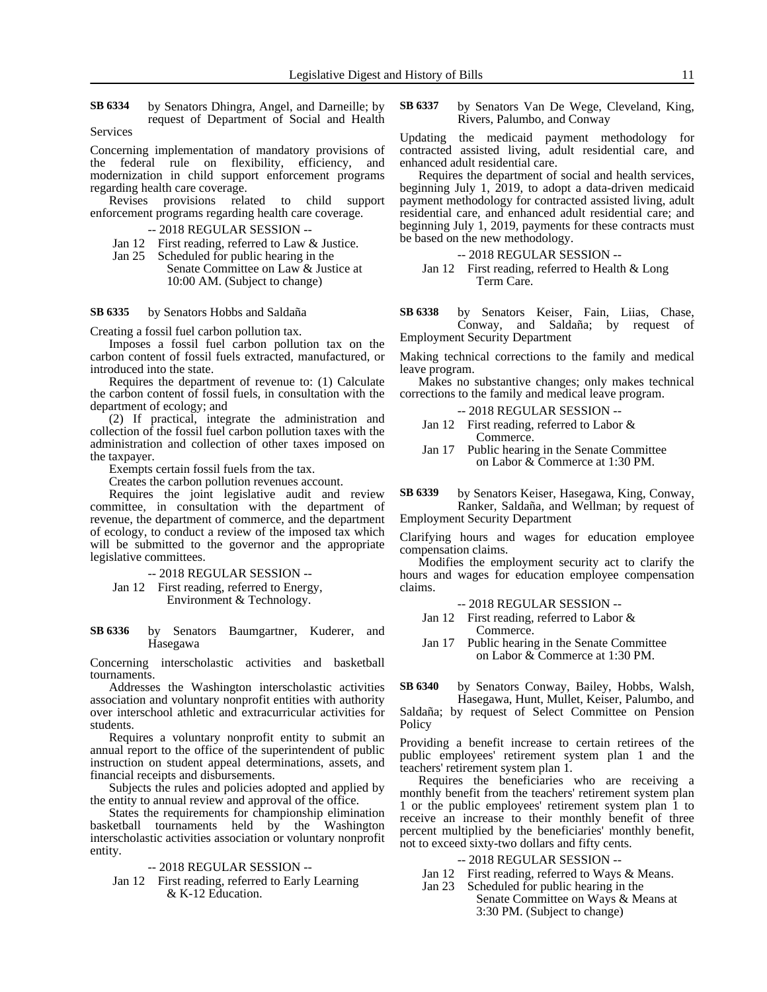by Senators Dhingra, Angel, and Darneille; by request of Department of Social and Health **SB 6334**

Services

Concerning implementation of mandatory provisions of the federal rule on flexibility, efficiency, and modernization in child support enforcement programs regarding health care coverage.

Revises provisions related to child support enforcement programs regarding health care coverage.

-- 2018 REGULAR SESSION --

Jan 12 First reading, referred to Law & Justice.<br>Jan 25 Scheduled for public hearing in the

Scheduled for public hearing in the Senate Committee on Law & Justice at 10:00 AM. (Subject to change)

by Senators Hobbs and Saldaña **SB 6335**

Creating a fossil fuel carbon pollution tax.

Imposes a fossil fuel carbon pollution tax on the carbon content of fossil fuels extracted, manufactured, or introduced into the state.

Requires the department of revenue to: (1) Calculate the carbon content of fossil fuels, in consultation with the department of ecology; and

(2) If practical, integrate the administration and collection of the fossil fuel carbon pollution taxes with the administration and collection of other taxes imposed on the taxpayer.

Exempts certain fossil fuels from the tax.

Creates the carbon pollution revenues account.

Requires the joint legislative audit and review committee, in consultation with the department of revenue, the department of commerce, and the department of ecology, to conduct a review of the imposed tax which will be submitted to the governor and the appropriate legislative committees.

-- 2018 REGULAR SESSION --

Jan 12 First reading, referred to Energy, Environment & Technology.

by Senators Baumgartner, Kuderer, and Hasegawa **SB 6336**

Concerning interscholastic activities and basketball tournaments.

Addresses the Washington interscholastic activities association and voluntary nonprofit entities with authority over interschool athletic and extracurricular activities for students.

Requires a voluntary nonprofit entity to submit an annual report to the office of the superintendent of public instruction on student appeal determinations, assets, and financial receipts and disbursements.

Subjects the rules and policies adopted and applied by the entity to annual review and approval of the office.

States the requirements for championship elimination basketball tournaments held by the Washington interscholastic activities association or voluntary nonprofit entity.

-- 2018 REGULAR SESSION --

Jan 12 First reading, referred to Early Learning & K-12 Education.

by Senators Van De Wege, Cleveland, King, Rivers, Palumbo, and Conway **SB 6337**

Updating the medicaid payment methodology for contracted assisted living, adult residential care, and enhanced adult residential care.

Requires the department of social and health services, beginning July 1, 2019, to adopt a data-driven medicaid payment methodology for contracted assisted living, adult residential care, and enhanced adult residential care; and beginning July 1, 2019, payments for these contracts must be based on the new methodology.

-- 2018 REGULAR SESSION --

Jan 12 First reading, referred to Health & Long Term Care.

by Senators Keiser, Fain, Liias, Chase, Conway, and Saldaña; by request of Employment Security Department **SB 6338**

Making technical corrections to the family and medical leave program.

Makes no substantive changes; only makes technical corrections to the family and medical leave program.

| $-2018$ REGULAR SESSION $-$                  |  |
|----------------------------------------------|--|
| Jan 12 First reading, referred to Labor $\&$ |  |
| Commerce.                                    |  |

Jan 17 Public hearing in the Senate Committee on Labor & Commerce at 1:30 PM.

by Senators Keiser, Hasegawa, King, Conway, Ranker, Saldaña, and Wellman; by request of Employment Security Department **SB 6339**

Clarifying hours and wages for education employee compensation claims.

Modifies the employment security act to clarify the hours and wages for education employee compensation claims.

-- 2018 REGULAR SESSION --

- Jan 12 First reading, referred to Labor & Commerce.
- Jan 17 Public hearing in the Senate Committee on Labor & Commerce at 1:30 PM.

by Senators Conway, Bailey, Hobbs, Walsh, **SB 6340**

Hasegawa, Hunt, Mullet, Keiser, Palumbo, and Saldaña; by request of Select Committee on Pension **Policy** 

Providing a benefit increase to certain retirees of the public employees' retirement system plan 1 and the teachers' retirement system plan 1.

Requires the beneficiaries who are receiving a monthly benefit from the teachers' retirement system plan 1 or the public employees' retirement system plan 1 to receive an increase to their monthly benefit of three percent multiplied by the beneficiaries' monthly benefit, not to exceed sixty-two dollars and fifty cents.

- -- 2018 REGULAR SESSION --
- Jan 12 First reading, referred to Ways & Means.<br>Jan 23 Scheduled for public hearing in the
	- Scheduled for public hearing in the Senate Committee on Ways & Means at 3:30 PM. (Subject to change)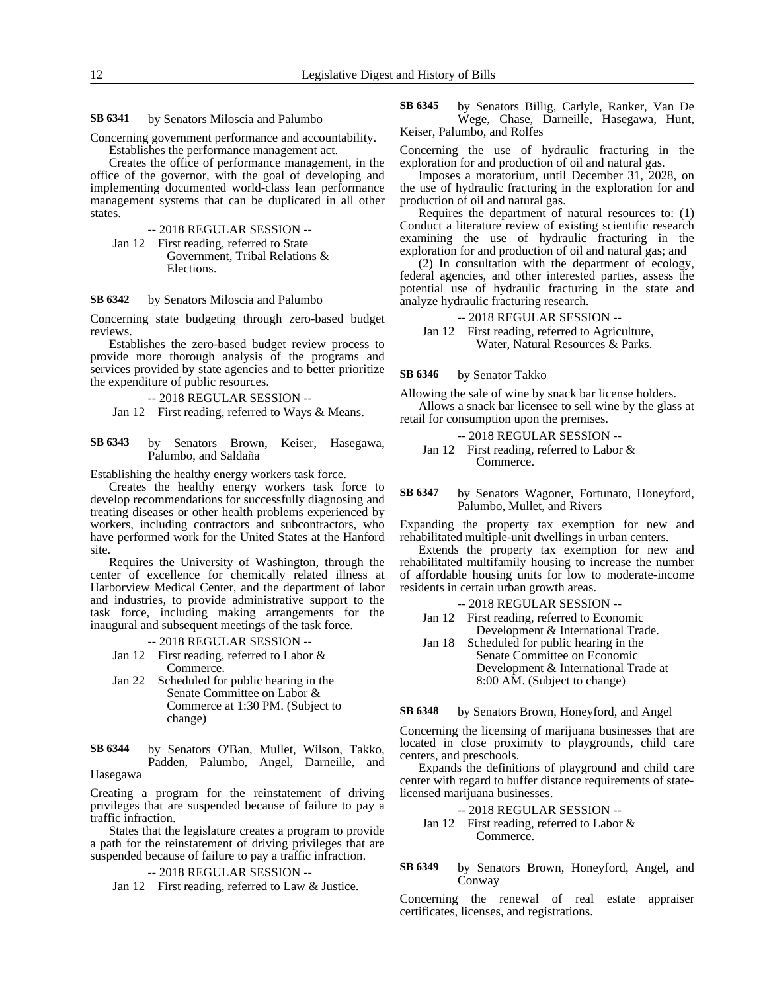by Senators Miloscia and Palumbo **SB 6341**

Concerning government performance and accountability. Establishes the performance management act.

Creates the office of performance management, in the office of the governor, with the goal of developing and implementing documented world-class lean performance management systems that can be duplicated in all other states.

-- 2018 REGULAR SESSION --

Jan 12 First reading, referred to State Government, Tribal Relations & Elections.

#### by Senators Miloscia and Palumbo **SB 6342**

Concerning state budgeting through zero-based budget reviews.

Establishes the zero-based budget review process to provide more thorough analysis of the programs and services provided by state agencies and to better prioritize the expenditure of public resources.

-- 2018 REGULAR SESSION --

Jan 12 First reading, referred to Ways & Means.

by Senators Brown, Keiser, Hasegawa, Palumbo, and Saldaña **SB 6343**

Establishing the healthy energy workers task force.

Creates the healthy energy workers task force to develop recommendations for successfully diagnosing and treating diseases or other health problems experienced by workers, including contractors and subcontractors, who have performed work for the United States at the Hanford site.

Requires the University of Washington, through the center of excellence for chemically related illness at Harborview Medical Center, and the department of labor and industries, to provide administrative support to the task force, including making arrangements for the inaugural and subsequent meetings of the task force.

-- 2018 REGULAR SESSION --

- Jan 12 First reading, referred to Labor & Commerce.
- Jan 22 Scheduled for public hearing in the Senate Committee on Labor & Commerce at 1:30 PM. (Subject to change)

by Senators O'Ban, Mullet, Wilson, Takko, Padden, Palumbo, Angel, Darneille, and Hasegawa **SB 6344**

Creating a program for the reinstatement of driving privileges that are suspended because of failure to pay a traffic infraction.

States that the legislature creates a program to provide a path for the reinstatement of driving privileges that are suspended because of failure to pay a traffic infraction.

-- 2018 REGULAR SESSION --

Jan 12 First reading, referred to Law & Justice.

by Senators Billig, Carlyle, Ranker, Van De Wege, Chase, Darneille, Hasegawa, Hunt, Keiser, Palumbo, and Rolfes **SB 6345**

Concerning the use of hydraulic fracturing in the exploration for and production of oil and natural gas.

Imposes a moratorium, until December 31, 2028, on the use of hydraulic fracturing in the exploration for and production of oil and natural gas.

Requires the department of natural resources to: (1) Conduct a literature review of existing scientific research examining the use of hydraulic fracturing in the exploration for and production of oil and natural gas; and

(2) In consultation with the department of ecology, federal agencies, and other interested parties, assess the potential use of hydraulic fracturing in the state and analyze hydraulic fracturing research.

-- 2018 REGULAR SESSION --

Jan 12 First reading, referred to Agriculture, Water, Natural Resources & Parks.

### by Senator Takko **SB 6346**

Allowing the sale of wine by snack bar license holders. Allows a snack bar licensee to sell wine by the glass at retail for consumption upon the premises.

-- 2018 REGULAR SESSION --

Jan 12 First reading, referred to Labor & Commerce.

### by Senators Wagoner, Fortunato, Honeyford, Palumbo, Mullet, and Rivers **SB 6347**

Expanding the property tax exemption for new and rehabilitated multiple-unit dwellings in urban centers.

Extends the property tax exemption for new and rehabilitated multifamily housing to increase the number of affordable housing units for low to moderate-income residents in certain urban growth areas.

-- 2018 REGULAR SESSION --

- Jan 12 First reading, referred to Economic Development & International Trade.
- Jan 18 Scheduled for public hearing in the Senate Committee on Economic Development & International Trade at 8:00 AM. (Subject to change)

by Senators Brown, Honeyford, and Angel **SB 6348**

Concerning the licensing of marijuana businesses that are located in close proximity to playgrounds, child care centers, and preschools.

Expands the definitions of playground and child care center with regard to buffer distance requirements of statelicensed marijuana businesses.

-- 2018 REGULAR SESSION -- Jan 12 First reading, referred to Labor & Commerce.

by Senators Brown, Honeyford, Angel, and Conway **SB 6349**

Concerning the renewal of real estate appraiser certificates, licenses, and registrations.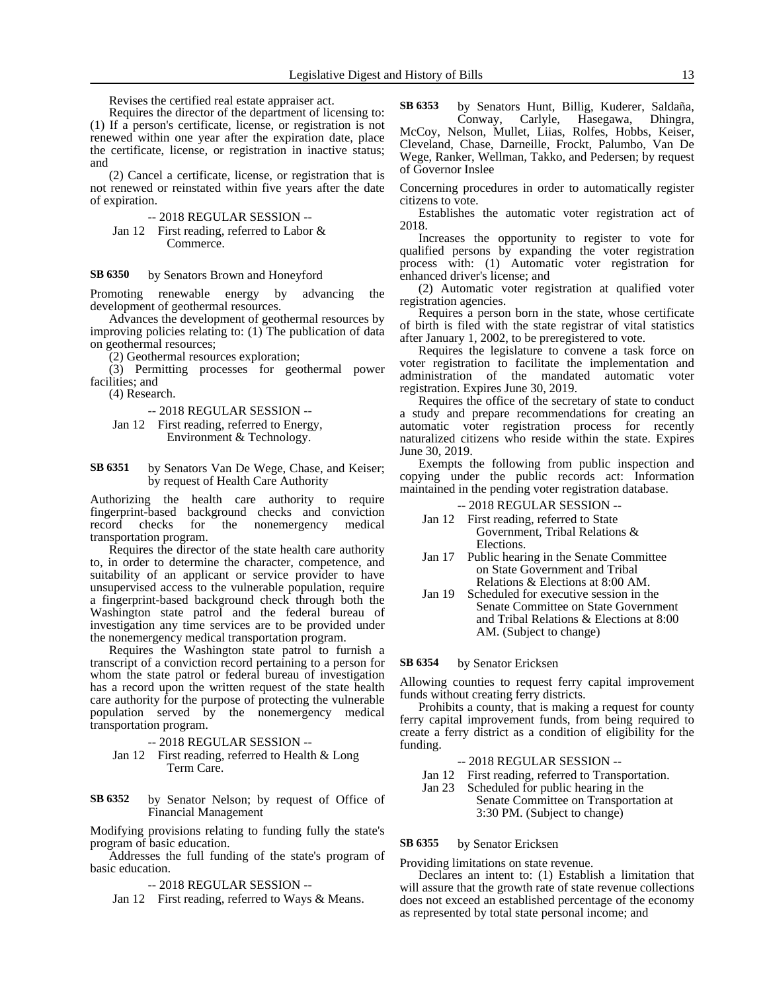Revises the certified real estate appraiser act.

Requires the director of the department of licensing to: (1) If a person's certificate, license, or registration is not renewed within one year after the expiration date, place the certificate, license, or registration in inactive status; and

(2) Cancel a certificate, license, or registration that is not renewed or reinstated within five years after the date of expiration.

-- 2018 REGULAR SESSION --

Jan 12 First reading, referred to Labor & Commerce.

### by Senators Brown and Honeyford **SB 6350**

Promoting renewable energy by advancing the development of geothermal resources.

Advances the development of geothermal resources by improving policies relating to: (1) The publication of data on geothermal resources;

(2) Geothermal resources exploration;

(3) Permitting processes for geothermal power facilities; and

(4) Research.

-- 2018 REGULAR SESSION --

- Jan 12 First reading, referred to Energy, Environment & Technology.
- by Senators Van De Wege, Chase, and Keiser; by request of Health Care Authority **SB 6351**

Authorizing the health care authority to require fingerprint-based background checks and conviction record checks for the nonemergency medical transportation program.

Requires the director of the state health care authority to, in order to determine the character, competence, and suitability of an applicant or service provider to have unsupervised access to the vulnerable population, require a fingerprint-based background check through both the Washington state patrol and the federal bureau of investigation any time services are to be provided under the nonemergency medical transportation program.

Requires the Washington state patrol to furnish a transcript of a conviction record pertaining to a person for whom the state patrol or federal bureau of investigation has a record upon the written request of the state health care authority for the purpose of protecting the vulnerable population served by the nonemergency medical transportation program.

-- 2018 REGULAR SESSION --

Jan 12 First reading, referred to Health & Long Term Care.

by Senator Nelson; by request of Office of Financial Management **SB 6352**

Modifying provisions relating to funding fully the state's program of basic education.

Addresses the full funding of the state's program of basic education.

-- 2018 REGULAR SESSION --

Jan 12 First reading, referred to Ways & Means.

by Senators Hunt, Billig, Kuderer, Saldaña, Conway, Carlyle, Hasegawa, Dhingra, McCoy, Nelson, Mullet, Liias, Rolfes, Hobbs, Keiser, Cleveland, Chase, Darneille, Frockt, Palumbo, Van De Wege, Ranker, Wellman, Takko, and Pedersen; by request of Governor Inslee **SB 6353**

Concerning procedures in order to automatically register citizens to vote.

Establishes the automatic voter registration act of 2018.

Increases the opportunity to register to vote for qualified persons by expanding the voter registration process with: (1) Automatic voter registration for enhanced driver's license; and

(2) Automatic voter registration at qualified voter registration agencies.

Requires a person born in the state, whose certificate of birth is filed with the state registrar of vital statistics after January 1, 2002, to be preregistered to vote.

Requires the legislature to convene a task force on voter registration to facilitate the implementation and administration of the mandated automatic voter registration. Expires June 30, 2019.

Requires the office of the secretary of state to conduct a study and prepare recommendations for creating an automatic voter registration process for recently naturalized citizens who reside within the state. Expires June 30, 2019.

Exempts the following from public inspection and copying under the public records act: Information maintained in the pending voter registration database.

-- 2018 REGULAR SESSION --

- Jan 12 First reading, referred to State Government, Tribal Relations & Elections.
- Jan 17 Public hearing in the Senate Committee on State Government and Tribal Relations & Elections at 8:00 AM.
- Jan 19 Scheduled for executive session in the Senate Committee on State Government and Tribal Relations & Elections at 8:00 AM. (Subject to change)

#### by Senator Ericksen **SB 6354**

Allowing counties to request ferry capital improvement funds without creating ferry districts.

Prohibits a county, that is making a request for county ferry capital improvement funds, from being required to create a ferry district as a condition of eligibility for the funding.

- -- 2018 REGULAR SESSION --
- 
- Jan 12 First reading, referred to Transportation.<br>Jan 23 Scheduled for public hearing in the Scheduled for public hearing in the Senate Committee on Transportation at 3:30 PM. (Subject to change)

### by Senator Ericksen **SB 6355**

Providing limitations on state revenue.

Declares an intent to: (1) Establish a limitation that will assure that the growth rate of state revenue collections does not exceed an established percentage of the economy as represented by total state personal income; and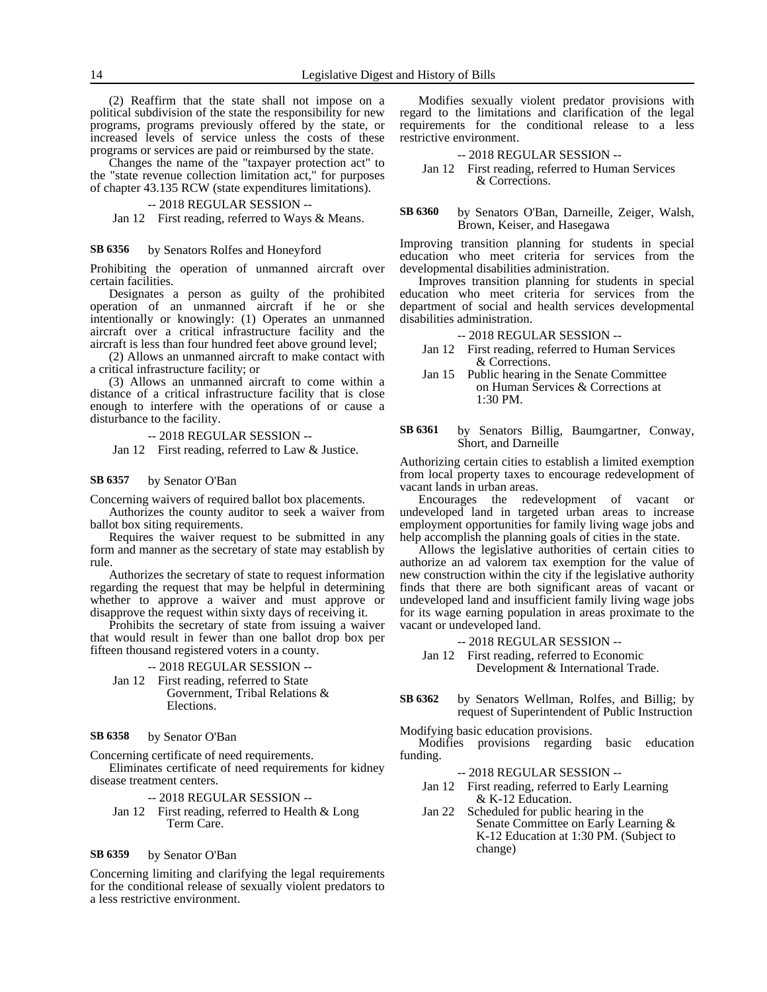(2) Reaffirm that the state shall not impose on a political subdivision of the state the responsibility for new programs, programs previously offered by the state, or increased levels of service unless the costs of these programs or services are paid or reimbursed by the state.

Changes the name of the "taxpayer protection act" to the "state revenue collection limitation act," for purposes of chapter 43.135 RCW (state expenditures limitations).

### -- 2018 REGULAR SESSION --

Jan 12 First reading, referred to Ways & Means.

### by Senators Rolfes and Honeyford **SB 6356**

Prohibiting the operation of unmanned aircraft over certain facilities.

Designates a person as guilty of the prohibited operation of an unmanned aircraft if he or she intentionally or knowingly: (1) Operates an unmanned aircraft over a critical infrastructure facility and the aircraft is less than four hundred feet above ground level;

(2) Allows an unmanned aircraft to make contact with a critical infrastructure facility; or

(3) Allows an unmanned aircraft to come within a distance of a critical infrastructure facility that is close enough to interfere with the operations of or cause a disturbance to the facility.

-- 2018 REGULAR SESSION --

Jan 12 First reading, referred to Law & Justice.

### by Senator O'Ban **SB 6357**

Concerning waivers of required ballot box placements.

Authorizes the county auditor to seek a waiver from ballot box siting requirements.

Requires the waiver request to be submitted in any form and manner as the secretary of state may establish by rule.

Authorizes the secretary of state to request information regarding the request that may be helpful in determining whether to approve a waiver and must approve or disapprove the request within sixty days of receiving it.

Prohibits the secretary of state from issuing a waiver that would result in fewer than one ballot drop box per fifteen thousand registered voters in a county.

-- 2018 REGULAR SESSION --

Jan 12 First reading, referred to State Government, Tribal Relations & Elections.

### by Senator O'Ban **SB 6358**

Concerning certificate of need requirements.

Eliminates certificate of need requirements for kidney disease treatment centers.

-- 2018 REGULAR SESSION --

Jan 12 First reading, referred to Health & Long Term Care.

### by Senator O'Ban **SB 6359**

Concerning limiting and clarifying the legal requirements for the conditional release of sexually violent predators to a less restrictive environment.

Modifies sexually violent predator provisions with regard to the limitations and clarification of the legal requirements for the conditional release to a less restrictive environment.

### -- 2018 REGULAR SESSION --

- Jan 12 First reading, referred to Human Services & Corrections.
- by Senators O'Ban, Darneille, Zeiger, Walsh, Brown, Keiser, and Hasegawa **SB 6360**

Improving transition planning for students in special education who meet criteria for services from the developmental disabilities administration.

Improves transition planning for students in special education who meet criteria for services from the department of social and health services developmental disabilities administration.

-- 2018 REGULAR SESSION --

- Jan 12 First reading, referred to Human Services & Corrections.
- Jan 15 Public hearing in the Senate Committee on Human Services & Corrections at 1:30 PM.
- by Senators Billig, Baumgartner, Conway, Short, and Darneille **SB 6361**

Authorizing certain cities to establish a limited exemption from local property taxes to encourage redevelopment of vacant lands in urban areas.

Encourages the redevelopment of vacant or undeveloped land in targeted urban areas to increase employment opportunities for family living wage jobs and help accomplish the planning goals of cities in the state.

Allows the legislative authorities of certain cities to authorize an ad valorem tax exemption for the value of new construction within the city if the legislative authority finds that there are both significant areas of vacant or undeveloped land and insufficient family living wage jobs for its wage earning population in areas proximate to the vacant or undeveloped land.

-- 2018 REGULAR SESSION --

- Jan 12 First reading, referred to Economic Development & International Trade.
- by Senators Wellman, Rolfes, and Billig; by request of Superintendent of Public Instruction **SB 6362**

Modifying basic education provisions.

Modifies provisions regarding basic education funding.

-- 2018 REGULAR SESSION --

- Jan 12 First reading, referred to Early Learning & K-12 Education.
- Jan 22 Scheduled for public hearing in the Senate Committee on Early Learning & K-12 Education at 1:30 PM. (Subject to change)